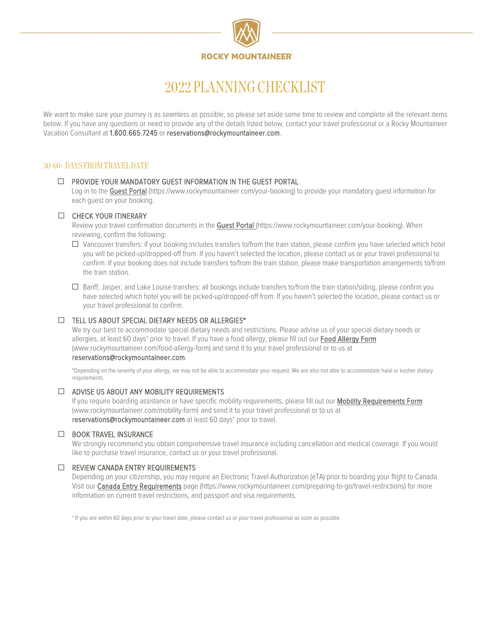

# 2022 PLANNING CHECKLIST

We want to make sure your journey is as seamless as possible, so please set aside some time to review and complete all the relevant items below. If you have any questions or need to provide any of the details listed below, contact your travel professional or a Rocky Mountaineer Vacation Consultant at 1.800.665.7245 o[r reservations@rockymountaineer.com.](mailto:reservations@rockymountaineer.com)

# 30-60+ DAYS FROM TRAVEL DATE

## $\Box$  PROVIDE YOUR MANDATORY GUEST INFORMATION IN THE GUEST PORTAL

Log in to the [Guest Portal](https://www.rockymountaineer.com/your-booking) [\(https://www.rockymountaineer.com/your-booking\)](https://www.rockymountaineer.com/your-booking) to provide your mandatory quest information for each guest on your booking.

#### CHECK YOUR ITINERARY

Review your travel confirmation documents in the **Guest Portal** (https://www.rockymountaineer.com/your-booking). When reviewing, confirm the following:

- $\Box$  Vancouver transfers: if your booking includes transfers to/from the train station, please confirm you have selected which hotel you will be picked-up/dropped-off from. If you haven't selected the location, please contact us or your travel professional to confirm. If your booking does not include transfers to/from the train station, please make transportation arrangements to/from the train station.
- Banff, Jasper, and Lake Louise transfers: all bookings include transfers to/from the train station/siding, please confirm you have selected which hotel you will be picked-up/dropped-off from. If you haven't selected the location, please contact us or your travel professional to confirm.

#### $\Box$  TELL US ABOUT SPECIAL DIETARY NEEDS OR ALLERGIES\*

We try our best to accommodate special dietary needs and restrictions. Please advise us of your special dietary needs or allergies, at least 60 days<sup>+</sup> prior to travel. If you have a food allergy, please fill out our Food Allergy Form [\(www.rockymountaineer.com/food-allergy-form\)](file://rmr04.rockymountaineer.com/home/Marketing/Brand%20Marketing/FY21%20(Nov%2020-Oct%2021)/FY21%20Projects/Guest%20Experience/Pre-Travel/Forms,%20Overviews%20&%20Checklist/Checklist/Planning/www.rockymountaineer.com/food-allergy-form) and send it to your travel professional or to us at

#### [reservations@rockymountaineer.com.](mailto:reservations@rockymountaineer.com)

\*Depending on the severity of your allergy, we may not be able to accommodate your request. We are also not able to accommodate halal or kosher dietary requirements.

#### $\Box$  ADVISE US ABOUT ANY MOBILITY REQUIREMENTS

If you require boarding assistance or have specific mobility requirements, please fill out our Mobility Requirements Form [\(www.rockymountaineer.com/mobility-form\)](file://rmr04.rockymountaineer.com/home/Marketing/Brand%20Marketing/FY21%20(Nov%2020-Oct%2021)/FY21%20Projects/Guest%20Experience/Pre-Travel/Forms,%20Overviews%20&%20Checklist/Checklist/Planning/www.rockymountaineer.com/mobility-form) and send it to your travel professional or to us at [reservations@rockymountaineer.com](mailto:reservations@rockymountaineer.com) at least 60 days<sup>+</sup> prior to travel.

### **END BOOK TRAVEL INSURANCE**

We strongly recommend you obtain comprehensive travel insurance including cancellation and medical coverage. If you would like to purchase travel insurance, contact us or your travel professional.

### $\Box$  REVIEW CANADA ENTRY REQUIREMENTS

Depending on your citizenship, you may require an Electronic Travel Authorization (eTA) prior to boarding your flight to Canada. Visit ou[r Canada Entry Requirements](https://www.rockymountaineer.com/preparing-to-go/travel-restrictions) page [\(https://www.rockymountaineer.com/preparing-to-go/travel-restrictions\)](https://www.rockymountaineer.com/preparing-to-go/travel-restrictions) for more information on current travel restrictions, and passport and visa requirements.

† If you are within 60 days prior to your travel date, please contact us or your travel professional as soon as possible.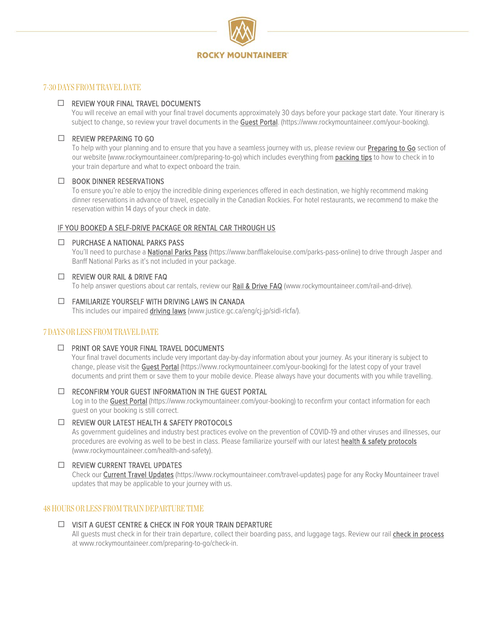

## 7-30 DAYS FROM TRAVEL DATE

## □ REVIEW YOUR FINAL TRAVEL DOCUMENTS

You will receive an email with your final travel documents approximately 30 days before your package start date. Your itinerary is subject to change, so review your travel documents in the [Guest Portal. \(https://www.rockymountaineer.com/your-booking\).](https://www.rockymountaineer.com/your-booking)

## $\Box$  REVIEW PREPARING TO GO

To help with your planning and to ensure that you have a seamless journey with us, please review our **Preparing to Go** section of our website [\(www.rockymountaineer.com/preparing-to-go\)](http://www.rockymountaineer.com/preparing-to-go) which includes everything from [packing tips](https://www.rockymountaineer.com/preparing-to-go/our-packing-tips) to how to check in to your train departure and what to expect onboard the train.

### $\Box$  BOOK DINNER RESERVATIONS

To ensure you're able to enjoy the incredible dining experiences offered in each destination, we highly recommend making dinner reservations in advance of travel, especially in the Canadian Rockies. For hotel restaurants, we recommend to make the reservation within 14 days of your check in date.

## IF YOU BOOKED A SELF-DRIVE PACKAGE OR RENTAL CAR THROUGH US

## D PURCHASE A NATIONAL PARKS PASS

You'll need to purchase [a National Parks Pass](https://www.banfflakelouise.com/parks-pass-online) [\(https://www.banfflakelouise.com/parks-pass-online\)](https://www.banfflakelouise.com/parks-pass-online) to drive through Jasper and Banff National Parks as it's not included in your package.

## □ REVIEW OUR RAIL & DRIVE FAQ

To help answer questions about car rentals, review our [Rail & Drive FAQ](http://www.rockymountaineer.com/rail-and-drive) [\(www.rockymountaineer.com/rail-and-drive\).](http://www.rockymountaineer.com/rail-and-drive)

# FAMILIARIZE YOURSELF WITH DRIVING LAWS IN CANADA

This includes our impaired [driving laws](http://www.justice.gc.ca/eng/cj-jp/sidl-rlcfa/) [\(www.justice.gc.ca/eng/cj-jp/sidl-rlcfa/\).](http://www.justice.gc.ca/eng/cj-jp/sidl-rlcfa/)

# 7 DAYS OR LESS FROM TRAVEL DATE

□ PRINT OR SAVE YOUR FINAL TRAVEL DOCUMENTS

Your final travel documents include very important day-by-day information about your journey. As your itinerary is subject to change, please visit th[e Guest Portal](https://www.rockymountaineer.com/your-booking) [\(https://www.rockymountaineer.com/your-booking\)](https://www.rockymountaineer.com/your-booking) for the latest copy of your travel documents and print them or save them to your mobile device. Please always have your documents with you while travelling.

### □ RECONFIRM YOUR GUEST INFORMATION IN THE GUEST PORTAL

Log in to th[e Guest Portal](https://www.rockymountaineer.com/your-booking) [\(https://www.rockymountaineer.com/your-booking\)](https://www.rockymountaineer.com/your-booking) to reconfirm your contact information for each guest on your booking is still correct.

### REVIEW OUR LATEST HEALTH & SAFETY PROTOCOLS

As government guidelines and industry best practices evolve on the prevention of COVID-19 and other viruses and illnesses, our procedures are evolving as well to be best in class. Please familiarize yourself with our latest health & safety protocols [\(www.rockymountaineer.com/health-and-safety\)](file://rmr04.rockymountaineer.com/home/Marketing/Brand%20Marketing/FY21%20(Nov%2020-Oct%2021)/FY21%20Projects/Guest%20Experience/Pre-Travel/Forms,%20Overviews%20&%20Checklist/Checklist/Planning/www.rockymountaineer.com/health-and-safety).

# □ REVIEW CURRENT TRAVEL UPDATES

Check our [Current Travel Updates](https://www.rockymountaineer.com/travel-updates) [\(https://www.rockymountaineer.com/travel-updates\)](https://www.rockymountaineer.com/travel-updates) page for any Rocky Mountaineer travel updates that may be applicable to your journey with us.

## 48 HOURS OR LESS FROM TRAIN DEPARTURE TIME

### VISIT A GUEST CENTRE & CHECK IN FOR YOUR TRAIN DEPARTURE

All guests must check in for their train departure, collect their boarding pass, and luggage tags. Review our rail [check in process](https://www.rockymountaineer.com/preparing-to-go/check-in) at [www.rockymountaineer.com/preparing-to-go/check-in.](http://www.rockymountaineer.com/preparing-to-go/check-in)